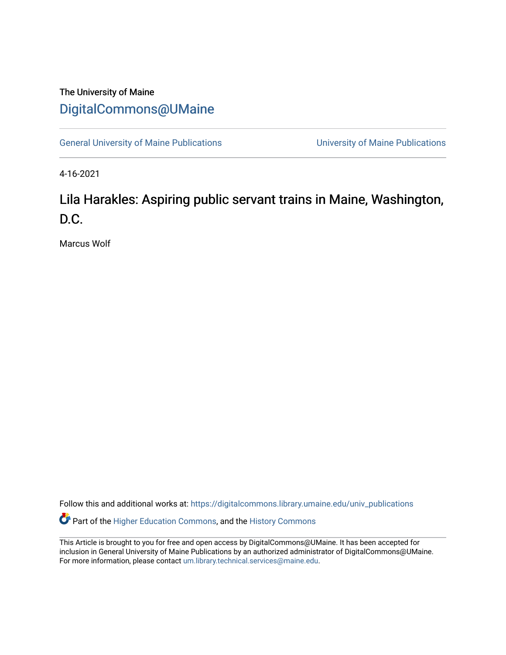## The University of Maine [DigitalCommons@UMaine](https://digitalcommons.library.umaine.edu/)

[General University of Maine Publications](https://digitalcommons.library.umaine.edu/univ_publications) [University of Maine Publications](https://digitalcommons.library.umaine.edu/umaine_publications) 

4-16-2021

# Lila Harakles: Aspiring public servant trains in Maine, Washington, D.C.

Marcus Wolf

Follow this and additional works at: [https://digitalcommons.library.umaine.edu/univ\\_publications](https://digitalcommons.library.umaine.edu/univ_publications?utm_source=digitalcommons.library.umaine.edu%2Funiv_publications%2F1143&utm_medium=PDF&utm_campaign=PDFCoverPages)  Part of the [Higher Education Commons,](http://network.bepress.com/hgg/discipline/1245?utm_source=digitalcommons.library.umaine.edu%2Funiv_publications%2F1143&utm_medium=PDF&utm_campaign=PDFCoverPages) and the [History Commons](http://network.bepress.com/hgg/discipline/489?utm_source=digitalcommons.library.umaine.edu%2Funiv_publications%2F1143&utm_medium=PDF&utm_campaign=PDFCoverPages)

This Article is brought to you for free and open access by DigitalCommons@UMaine. It has been accepted for inclusion in General University of Maine Publications by an authorized administrator of DigitalCommons@UMaine. For more information, please contact [um.library.technical.services@maine.edu](mailto:um.library.technical.services@maine.edu).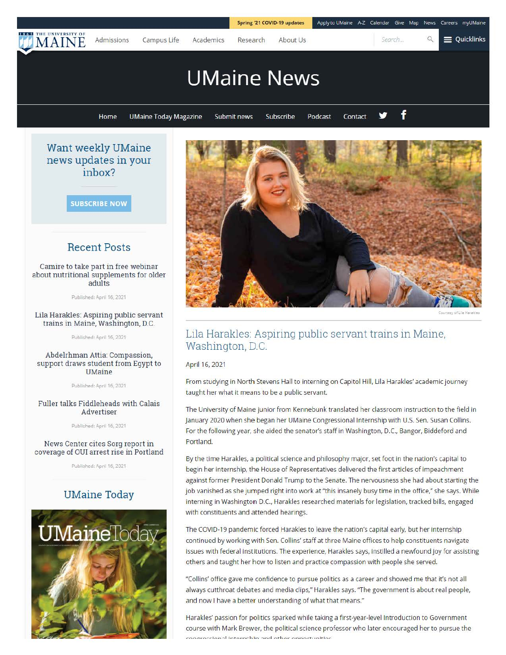

**SUBSCRIBE NOW** 

**in box?** 

### **Recent Posts**

Camire to take part in free webinar about nutritional supplements for older adults

Published: April 16, 2021

#### Lila Harakles: Aspiring public servant trains in Maine, Washington, D.C.

Published: April 16, 2021

#### Abdelrhman Attia: Compassion, support draws student from Egypt to UMaine

Published: April 16, 2021

#### Fuller talks Fiddleheads with Calais Advertiser

Published: April 16, 2021

#### News Center cites Sorg report in coverage of our arrest rise in Portland

Published: April 16, 2021

## **UMaine Today**





## Lila Harakles: Aspiring public servant trains in Maine, Washington, D.C.

#### April 16, 2021

From studying in North Stevens Hall to interning on Capitol Hill, Lila Harakles' academic journey taught her what it means to be a public servant

The University of Maine junior from Kennebunk translated her classroom instruction to the field in January 2020 when she began her UMaine Congressional Internship with U.S. Sen. Susan Collins. For the following year, she aided the senator's staff in Washington, D.C., Bangor, Biddeford and Portland.

By the time Harakles, a political science and philosophy major, set foot in the nation's capital to begin her internship, the House of Representatives delivered the first articles of impeachment against former President Donald Trump to the Senate. The nervousness she had about starting the job vanished as she jumped right into work at "this insanely busy time in the office," she says. While interning in Washington D.C., Harakles researched materials for legislation, tracked bills, engaged with constituents and attended hearings.

The COVID-19 pandemic forced Harakles to leave the nation's capital early, but her internship continued by working with Sen. Collins' staff at three Maine offices to help constituents navigate issues with federal institutions. The experience, Harakles says, instilled a newfound joy for assisting others and taught her how to listen and practice compassion with people she served.

"Collins' office gave me confidence to pursue politics as a career and showed me that it's not all always cutthroat debates and media clips," Harakles says. "The government is about real people, and now I have a better understanding of what that means."

Harakles' passion for politics sparked while taking a first-year-level Introduction to Government course with Mark Brewer, the political science professor who later encouraged her to pursue the naroccional internehin and other opportunities